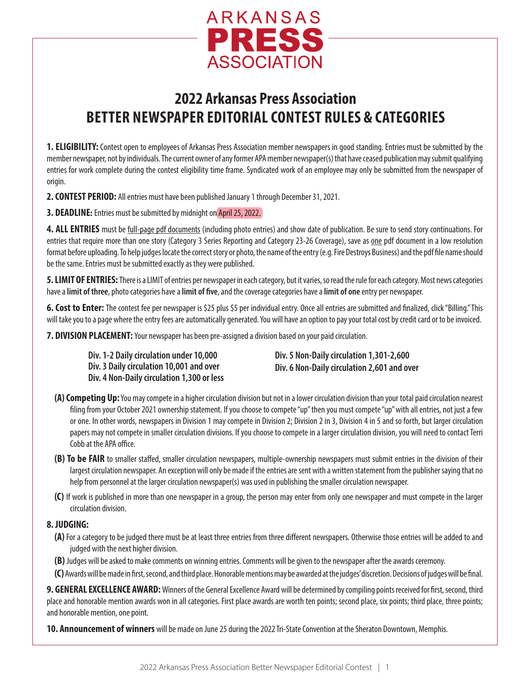

# **2022 Arkansas Press Association BETTER NEWSPAPER EDITORIAL CONTEST RULES & CATEGORIES**

**1. ELIGIBILITY:** Contest open to employees of Arkansas Press Association member newspapers in good standing. Entries must be submitted by the member newspaper, not by individuals. The current owner of any former APA member newspaper(s) that have ceased publication may submit qualifying entries for work complete during the contest eligibility time frame. Syndicated work of an employee may only be submitted from the newspaper of origin.

**2. CONTEST PERIOD:** All entries must have been published January 1 through December 31, 2021.

**3. DEADLINE:** Entries must be submitted by midnight on April 25, 2022.

**4. ALL ENTRIES** must be full-page pdf documents (including photo entries) and show date of publication. Be sure to send story continuations. For entries that require more than one story (Category 3 Series Reporting and Category 23-26 Coverage), save as one pdf document in a low resolution format before uploading. To help judges locate the correct story or photo, the name of the entry (e.g. Fire Destroys Business) and the pdf file name should be the same. Entries must be submitted exactly as they were published.

**5. LIMIT OF ENTRIES:** There is a LIMIT of entries per newspaper in each category, but it varies, so read the rule for each category. Most news categories have a **limit of three**, photo categories have a **limit of five**, and the coverage categories have a **limit of one** entry per newspaper.

**6. Cost to Enter:** The contest fee per newspaper is \$25 plus \$5 per individual entry. Once all entries are submitted and finalized, click "Billing." This will take you to a page where the entry fees are automatically generated. You will have an option to pay your total cost by credit card or to be invoiced.

**7. DIVISION PLACEMENT:** Your newspaper has been pre-assigned a division based on your paid circulation.

**Div. 1-2 Daily circulation under 10,000 Div. 3 Daily circulation 10,001 and over Div. 4 Non-Daily circulation 1,300 or less** **Div. 5 Non-Daily circulation 1,301-2,600 Div. 6 Non-Daily circulation 2,601 and over**

- **(A) Competing Up:** You may compete in a higher circulation division but not in a lower circulation division than your total paid circulation nearest filing from your October 2021 ownership statement. If you choose to compete "up" then you must compete "up" with all entries, not just a few or one. In other words, newspapers in Division 1 may compete in Division 2; Division 2 in 3, Division 4 in 5 and so forth, but larger circulation papers may not compete in smaller circulation divisions. If you choose to compete in a larger circulation division, you will need to contact Terri Cobb at the APA office.
- **(B) To be FAIR** to smaller staffed, smaller circulation newspapers, multiple-ownership newspapers must submit entries in the division of their largest circulation newspaper. An exception will only be made if the entries are sent with a written statement from the publisher saying that no help from personnel at the larger circulation newspaper(s) was used in publishing the smaller circulation newspaper.
- **(C)** If work is published in more than one newspaper in a group, the person may enter from only one newspaper and must compete in the larger circulation division.

#### **8. JUDGING:**

- **(A)** For a category to be judged there must be at least three entries from three different newspapers. Otherwise those entries will be added to and judged with the next higher division.
- **(B)** Judges will be asked to make comments on winning entries. Comments will be given to the newspaper after the awards ceremony.
- **(C)** Awards will be made in first, second, and third place. Honorable mentions may be awarded at the judges' discretion. Decisions of judges will be final.

**9. GENERAL EXCELLENCE AWARD:** Winners of the General Excellence Award will be determined by compiling points received for first, second, third place and honorable mention awards won in all categories. First place awards are worth ten points; second place, six points; third place, three points; and honorable mention, one point.

**10. Announcement of winners** will be made on June 25 during the 2022 Tri-State Convention at the Sheraton Downtown, Memphis.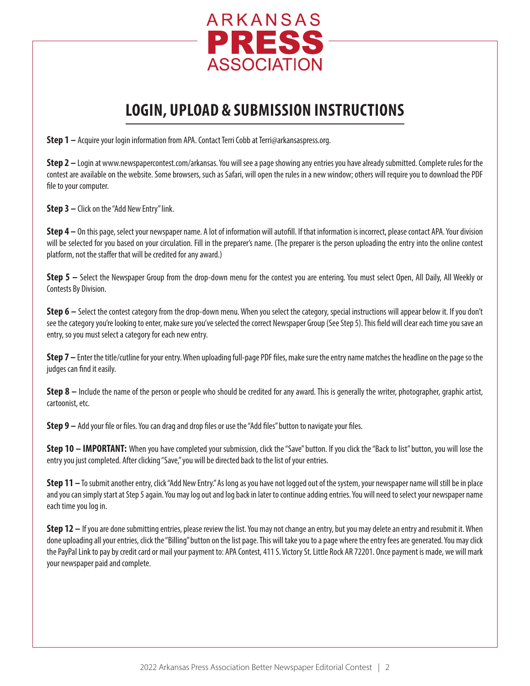

# **LOGIN, UPLOAD & SUBMISSION INSTRUCTIONS**

**Step 1** – Acquire your login information from APA. Contact Terri Cobb at Terri@arkansaspress.org.

**Step 2** – Login at www.newspapercontest.com/arkansas. You will see a page showing any entries you have already submitted. Complete rules for the contest are available on the website. Some browsers, such as Safari, will open the rules in a new window; others will require you to download the PDF file to your computer.

**Step 3 –** Click on the "Add New Entry" link.

**Step 4 –** On this page, select your newspaper name. A lot of information will autofill. If that information is incorrect, please contact APA. Your division will be selected for you based on your circulation. Fill in the preparer's name. (The preparer is the person uploading the entry into the online contest platform, not the staffer that will be credited for any award.)

**Step 5 –** Select the Newspaper Group from the drop-down menu for the contest you are entering. You must select Open, All Daily, All Weekly or Contests By Division.

**Step 6** – Select the contest category from the drop-down menu. When you select the category, special instructions will appear below it. If you don't see the category you're looking to enter, make sure you've selected the correct Newspaper Group (See Step 5). This field will clear each time you save an entry, so you must select a category for each new entry.

**Step 7 –** Enter the title/cutline for your entry. When uploading full-page PDF files, make sure the entry name matches the headline on the page so the judges can find it easily.

**Step 8** – Include the name of the person or people who should be credited for any award. This is generally the writer, photographer, graphic artist, cartoonist, etc.

**Step 9 –** Add your file or files. You can drag and drop files or use the "Add files" button to navigate your files.

**Step 10 – IMPORTANT:** When you have completed your submission, click the "Save" button. If you click the "Back to list" button, you will lose the entry you just completed. After clicking "Save," you will be directed back to the list of your entries.

**Step 11 –** To submit another entry, click "Add New Entry." As long as you have not logged out of the system, your newspaper name will still be in place and you can simply start at Step 5 again. You may log out and log back in later to continue adding entries. You will need to select your newspaper name each time you log in.

**Step 12 –** If you are done submitting entries, please review the list. You may not change an entry, but you may delete an entry and resubmit it. When done uploading all your entries, click the "Billing" button on the list page. This will take you to a page where the entry fees are generated. You may click the PayPal Link to pay by credit card or mail your payment to: APA Contest, 411 S. Victory St. Little Rock AR 72201. Once payment is made, we will mark your newspaper paid and complete.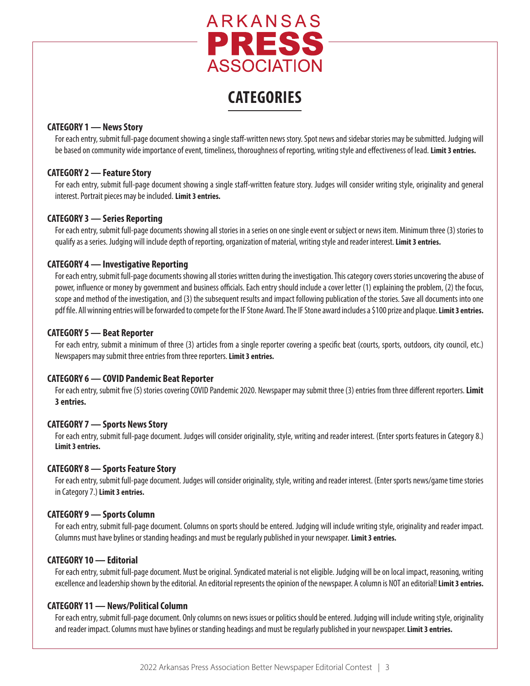

# **CATEGORIES**

#### **CATEGORY 1 — News Story**

For each entry, submit full-page document showing a single staff-written news story. Spot news and sidebar stories may be submitted. Judging will be based on community wide importance of event, timeliness, thoroughness of reporting, writing style and effectiveness of lead. **Limit 3 entries.**

#### **CATEGORY 2 — Feature Story**

For each entry, submit full-page document showing a single staff-written feature story. Judges will consider writing style, originality and general interest. Portrait pieces may be included. **Limit 3 entries.**

#### **CATEGORY 3 — Series Reporting**

For each entry, submit full-page documents showing all stories in a series on one single event or subject or news item. Minimum three (3) stories to qualify as a series. Judging will include depth of reporting, organization of material, writing style and reader interest. **Limit 3 entries.**

#### **CATEGORY 4 — Investigative Reporting**

For each entry, submit full-page documents showing all stories written during the investigation. This category covers stories uncovering the abuse of power, influence or money by government and business officials. Each entry should include a cover letter (1) explaining the problem, (2) the focus, scope and method of the investigation, and (3) the subsequent results and impact following publication of the stories. Save all documents into one pdf file. All winning entries will be forwarded to compete for the IF Stone Award. The IF Stone award includes a \$100 prize and plaque. **Limit 3 entries.**

#### **CATEGORY 5— Beat Reporter**

For each entry, submit a minimum of three (3) articles from a single reporter covering a specific beat (courts, sports, outdoors, city council, etc.) Newspapers may submit three entries from three reporters. **Limit 3 entries.**

#### **CATEGORY 6 — COVID Pandemic Beat Reporter**

For each entry, submit five (5) stories covering COVID Pandemic 2020. Newspaper may submit three (3) entries from three different reporters. **Limit 3 entries.**

#### **CATEGORY 7 — Sports News Story**

For each entry, submit full-page document. Judges will consider originality, style, writing and reader interest. (Enter sports features in Category 8.) **Limit 3 entries.**

#### **CATEGORY 8 — Sports Feature Story**

For each entry, submit full-page document. Judges will consider originality, style, writing and reader interest. (Enter sports news/game time stories in Category 7.) **Limit 3 entries.**

#### **CATEGORY 9 — Sports Column**

For each entry, submit full-page document. Columns on sports should be entered. Judging will include writing style, originality and reader impact. Columns must have bylines or standing headings and must be regularly published in your newspaper. **Limit 3 entries.**

#### **CATEGORY 10 — Editorial**

For each entry, submit full-page document. Must be original. Syndicated material is not eligible. Judging will be on local impact, reasoning, writing excellence and leadership shown by the editorial. An editorial represents the opinion of the newspaper. A column is NOT an editorial! **Limit 3 entries.**

#### **CATEGORY 11 — News/Political Column**

For each entry, submit full-page document. Only columns on news issues or politics should be entered. Judging will include writing style, originality and reader impact. Columns must have bylines or standing headings and must be regularly published in your newspaper. **Limit 3 entries.**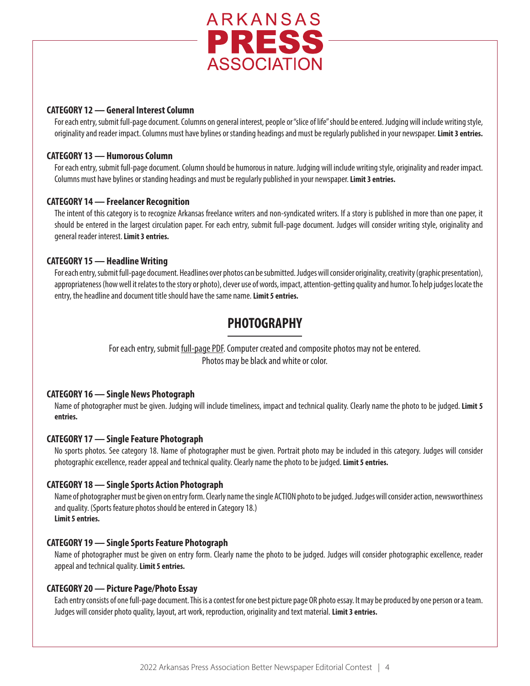

#### **CATEGORY 12 — General Interest Column**

For each entry, submit full-page document. Columns on general interest, people or "slice of life" should be entered. Judging will include writing style, originality and reader impact. Columns must have bylines or standing headings and must be regularly published in your newspaper. **Limit 3 entries.**

#### **CATEGORY 13 — Humorous Column**

For each entry, submit full-page document. Column should be humorous in nature. Judging will include writing style, originality and reader impact. Columns must have bylines or standing headings and must be regularly published in your newspaper. **Limit 3 entries.**

#### **CATEGORY 14 — Freelancer Recognition**

The intent of this category is to recognize Arkansas freelance writers and non-syndicated writers. If a story is published in more than one paper, it should be entered in the largest circulation paper. For each entry, submit full-page document. Judges will consider writing style, originality and general reader interest. **Limit 3 entries.**

#### **CATEGORY 15 — Headline Writing**

For each entry, submit full-page document. Headlines over photos can be submitted. Judges will consider originality, creativity (graphic presentation), appropriateness (how well it relates to the story or photo), clever use of words, impact, attention-getting quality and humor. To help judges locate the entry, the headline and document title should have the same name. **Limit 5 entries.**

### **PHOTOGRAPHY**

For each entry, submit full-page PDF. Computer created and composite photos may not be entered. Photos may be black and white or color.

#### **CATEGORY 16 — Single News Photograph**

Name of photographer must be given. Judging will include timeliness, impact and technical quality. Clearly name the photo to be judged. **Limit 5 entries.**

#### **CATEGORY 17 — Single Feature Photograph**

No sports photos. See category 18. Name of photographer must be given. Portrait photo may be included in this category. Judges will consider photographic excellence, reader appeal and technical quality. Clearly name the photo to be judged. **Limit 5 entries.**

#### **CATEGORY 18 — Single Sports Action Photograph**

Name of photographer must be given on entry form. Clearly name the single ACTION photo to be judged. Judges will consider action, newsworthiness and quality. (Sports feature photos should be entered in Category 18.) **Limit 5 entries.**

#### **CATEGORY 19 — Single Sports Feature Photograph**

Name of photographer must be given on entry form. Clearly name the photo to be judged. Judges will consider photographic excellence, reader appeal and technical quality. **Limit 5 entries.**

#### **CATEGORY 20 — Picture Page/Photo Essay**

Each entry consists of one full-page document. This is a contest for one best picture page OR photo essay. It may be produced by one person or a team. Judges will consider photo quality, layout, art work, reproduction, originality and text material. **Limit 3 entries.**